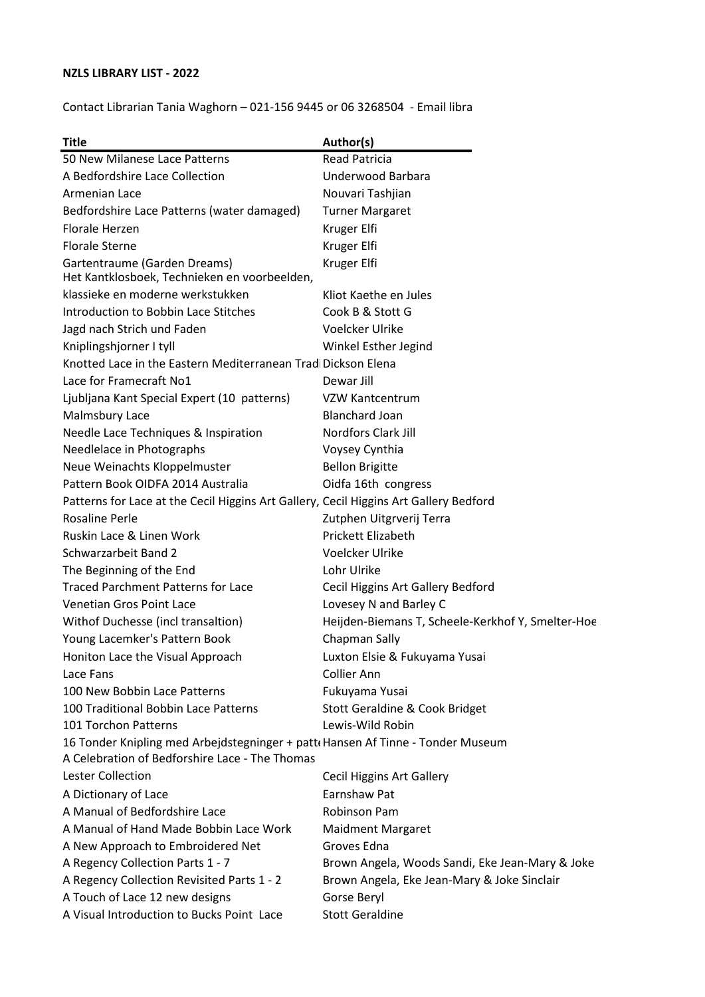# **NZLS LIBRARY LIST - 2022**

Contact Librarian Tania Waghorn – 021-156 9445 or 06 3268504 - Email libra

| <b>Title</b>                                                                          | Author(s)                                         |
|---------------------------------------------------------------------------------------|---------------------------------------------------|
| 50 New Milanese Lace Patterns                                                         | <b>Read Patricia</b>                              |
| A Bedfordshire Lace Collection                                                        | Underwood Barbara                                 |
| Armenian Lace                                                                         | Nouvari Tashjian                                  |
| Bedfordshire Lace Patterns (water damaged)                                            | <b>Turner Margaret</b>                            |
| Florale Herzen                                                                        | Kruger Elfi                                       |
| <b>Florale Sterne</b>                                                                 | Kruger Elfi                                       |
| Gartentraume (Garden Dreams)<br>Het Kantklosboek, Technieken en voorbeelden,          | Kruger Elfi                                       |
| klassieke en moderne werkstukken                                                      | Kliot Kaethe en Jules                             |
| Introduction to Bobbin Lace Stitches                                                  | Cook B & Stott G                                  |
| Jagd nach Strich und Faden                                                            | Voelcker Ulrike                                   |
| Kniplingshjorner I tyll                                                               | Winkel Esther Jegind                              |
| Knotted Lace in the Eastern Mediterranean Trad Dickson Elena                          |                                                   |
| Lace for Framecraft No1                                                               | Dewar Jill                                        |
| Ljubljana Kant Special Expert (10 patterns)                                           | VZW Kantcentrum                                   |
| Malmsbury Lace                                                                        | <b>Blanchard Joan</b>                             |
| Needle Lace Techniques & Inspiration                                                  | Nordfors Clark Jill                               |
| Needlelace in Photographs                                                             | Voysey Cynthia                                    |
| Neue Weinachts Kloppelmuster                                                          | <b>Bellon Brigitte</b>                            |
| Pattern Book OIDFA 2014 Australia                                                     | Oidfa 16th congress                               |
| Patterns for Lace at the Cecil Higgins Art Gallery, Cecil Higgins Art Gallery Bedford |                                                   |
| <b>Rosaline Perle</b>                                                                 | Zutphen Uitgrverij Terra                          |
| Ruskin Lace & Linen Work                                                              | Prickett Elizabeth                                |
| Schwarzarbeit Band 2                                                                  | <b>Voelcker Ulrike</b>                            |
| The Beginning of the End                                                              | Lohr Ulrike                                       |
| <b>Traced Parchment Patterns for Lace</b>                                             | Cecil Higgins Art Gallery Bedford                 |
| Venetian Gros Point Lace                                                              | Lovesey N and Barley C                            |
| Withof Duchesse (incl transaltion)                                                    | Heijden-Biemans T, Scheele-Kerkhof Y, Smelter-Hoe |
| Young Lacemker's Pattern Book                                                         | Chapman Sally                                     |
| Honiton Lace the Visual Approach                                                      | Luxton Elsie & Fukuyama Yusai                     |
| Lace Fans                                                                             | <b>Collier Ann</b>                                |
| 100 New Bobbin Lace Patterns                                                          | Fukuyama Yusai                                    |
| 100 Traditional Bobbin Lace Patterns                                                  | Stott Geraldine & Cook Bridget                    |
| 101 Torchon Patterns                                                                  | Lewis-Wild Robin                                  |
| 16 Tonder Knipling med Arbejdstegninger + patt Hansen Af Tinne - Tonder Museum        |                                                   |
| A Celebration of Bedforshire Lace - The Thomas                                        |                                                   |
| Lester Collection                                                                     | <b>Cecil Higgins Art Gallery</b>                  |
| A Dictionary of Lace                                                                  | Earnshaw Pat                                      |
| A Manual of Bedfordshire Lace                                                         | Robinson Pam                                      |
| A Manual of Hand Made Bobbin Lace Work                                                | <b>Maidment Margaret</b>                          |
| A New Approach to Embroidered Net                                                     | Groves Edna                                       |
| A Regency Collection Parts 1 - 7                                                      | Brown Angela, Woods Sandi, Eke Jean-Mary & Joke   |
| A Regency Collection Revisited Parts 1 - 2                                            | Brown Angela, Eke Jean-Mary & Joke Sinclair       |
| A Touch of Lace 12 new designs                                                        | Gorse Beryl                                       |
| A Visual Introduction to Bucks Point Lace                                             | <b>Stott Geraldine</b>                            |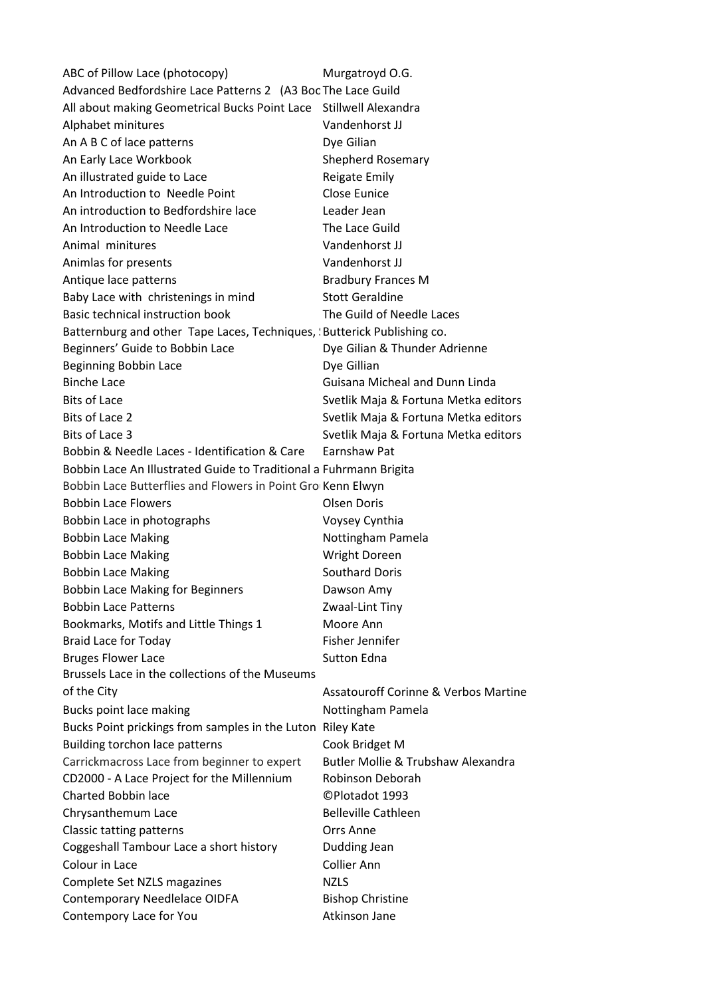ABC of Pillow Lace (photocopy) Murgatroyd O.G. Advanced Bedfordshire Lace Patterns 2 (A3 Boc The Lace Guild All about making Geometrical Bucks Point Lace Stillwell Alexandra Alphabet minitures Vandenhorst JJ An A B C of lace patterns Dye Gilian An Early Lace Workbook Shepherd Rosemary An illustrated guide to Lace Reigate Emily An Introduction to Needle Point Close Eunice An introduction to Bedfordshire lace Leader Jean An Introduction to Needle Lace The Lace Guild Animal minitures Vandenhorst JJ Animlas for presents Vandenhorst JJ Antique lace patterns and all the Bradbury Frances M Baby Lace with christenings in mind Stott Geraldine Basic technical instruction book The Guild of Needle Laces Batternburg and other Tape Laces, Techniques, Sutterick Publishing co. Beginners' Guide to Bobbin Lace **Dye Gilian & Thunder Adrienne** Beginning Bobbin Lace Dye Gillian Binche Lace Guisana Micheal and Dunn Linda Bits of Lace Svetlik Maja & Fortuna Metka editors Bits of Lace 2 Svetlik Maja & Fortuna Metka editors Bits of Lace 3 Svetlik Maja & Fortuna Metka editors Bobbin & Needle Laces - Identification & Care Earnshaw Pat Bobbin Lace An Illustrated Guide to Traditional a Fuhrmann Brigita Bobbin Lace Butterflies and Flowers in Point Gro Kenn Elwyn Bobbin Lace Flowers **Constanting Constanting Constanting Constanting Constanting Constanting Constanting Constanting Constanting Constanting Constanting Constanting Constanting Constanting Constanting Constanting Constanti** Bobbin Lace in photographs Voysey Cynthia Bobbin Lace Making Nottingham Pamela Bobbin Lace Making Wright Doreen Bobbin Lace Making **Southard Doris** Southard Doris Bobbin Lace Making for Beginners **Dawson Amy** Bobbin Lace Patterns Zwaal-Lint Tiny Bookmarks, Motifs and Little Things 1 Moore Ann Braid Lace for Today Fisher Jennifer Bruges Flower Lace Sutton Edna Brussels Lace in the collections of the Museums of the City **Assatouroff Corinne & Verbos Martine** Bucks point lace making Nottingham Pamela Bucks Point prickings from samples in the Luton Riley Kate Building torchon lace patterns Cook Bridget M Carrickmacross Lace from beginner to expert Butler Mollie & Trubshaw Alexandra CD2000 - A Lace Project for the Millennium Robinson Deborah Charted Bobbin lace ©Plotadot 1993 Chrysanthemum Lace Belleville Cathleen Classic tatting patterns **Classic tatting patterns Classic tatting patterns** Coggeshall Tambour Lace a short history **Dudding Jean** Colour in Lace Collier Ann Complete Set NZLS magazines NZLS Contemporary Needlelace OIDFA Bishop Christine Contempory Lace for You **Atkinson Jane**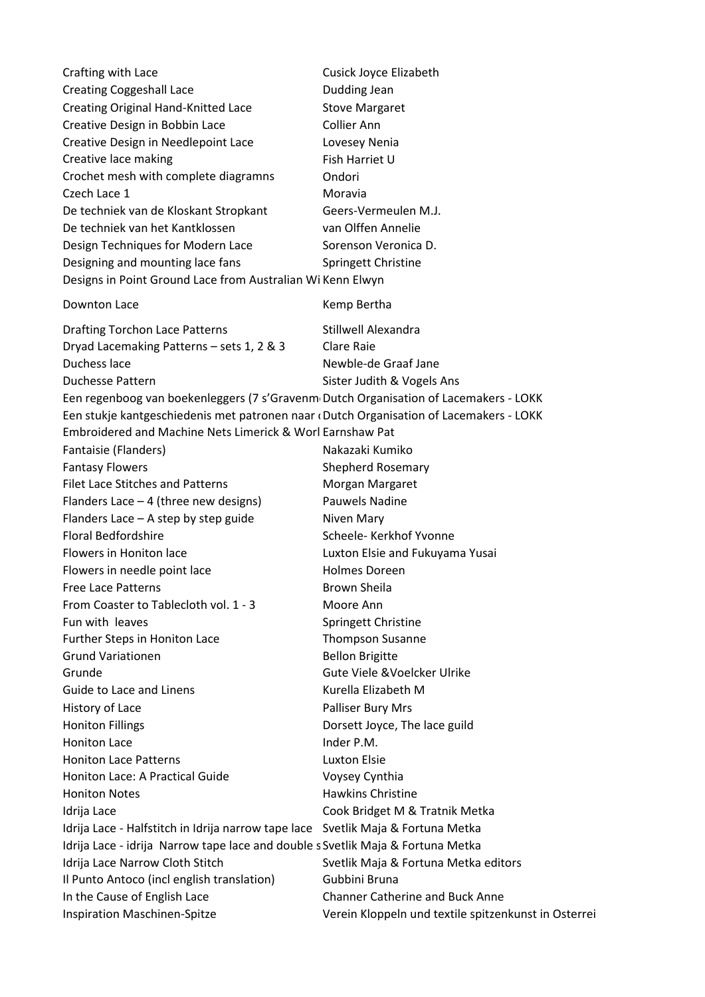| Crafting with Lace                                                                                                                                                  | Cusick Joyce Elizabeth                                |  |
|---------------------------------------------------------------------------------------------------------------------------------------------------------------------|-------------------------------------------------------|--|
| <b>Creating Coggeshall Lace</b>                                                                                                                                     | Dudding Jean                                          |  |
| Creating Original Hand-Knitted Lace                                                                                                                                 | <b>Stove Margaret</b>                                 |  |
| Creative Design in Bobbin Lace                                                                                                                                      | Collier Ann                                           |  |
| Creative Design in Needlepoint Lace                                                                                                                                 | Lovesey Nenia                                         |  |
| Creative lace making                                                                                                                                                | Fish Harriet U                                        |  |
| Crochet mesh with complete diagramns                                                                                                                                | Ondori                                                |  |
| Czech Lace 1                                                                                                                                                        | Moravia                                               |  |
| De techniek van de Kloskant Stropkant                                                                                                                               | Geers-Vermeulen M.J.                                  |  |
| De techniek van het Kantklossen                                                                                                                                     | van Olffen Annelie                                    |  |
| Design Techniques for Modern Lace                                                                                                                                   | Sorenson Veronica D.                                  |  |
| Designing and mounting lace fans                                                                                                                                    | Springett Christine                                   |  |
| Designs in Point Ground Lace from Australian Wi Kenn Elwyn                                                                                                          |                                                       |  |
| Downton Lace                                                                                                                                                        | Kemp Bertha                                           |  |
| <b>Drafting Torchon Lace Patterns</b>                                                                                                                               | Stillwell Alexandra                                   |  |
| Dryad Lacemaking Patterns - sets 1, 2 & 3                                                                                                                           | Clare Raie                                            |  |
| Duchess lace                                                                                                                                                        | Newble-de Graaf Jane                                  |  |
| <b>Duchesse Pattern</b>                                                                                                                                             | Sister Judith & Vogels Ans                            |  |
| Een regenboog van boekenleggers (7 s'Gravenm Dutch Organisation of Lacemakers - LOKK                                                                                |                                                       |  |
| Een stukje kantgeschiedenis met patronen naar (Dutch Organisation of Lacemakers - LOKK                                                                              |                                                       |  |
| Embroidered and Machine Nets Limerick & Worl Earnshaw Pat                                                                                                           |                                                       |  |
| Fantaisie (Flanders)                                                                                                                                                | Nakazaki Kumiko                                       |  |
| <b>Fantasy Flowers</b>                                                                                                                                              | <b>Shepherd Rosemary</b>                              |  |
| <b>Filet Lace Stitches and Patterns</b>                                                                                                                             | Morgan Margaret                                       |  |
| Flanders Lace $-4$ (three new designs)                                                                                                                              | <b>Pauwels Nadine</b>                                 |  |
| Flanders Lace $-$ A step by step guide                                                                                                                              | Niven Mary                                            |  |
| <b>Floral Bedfordshire</b>                                                                                                                                          | Scheele- Kerkhof Yvonne                               |  |
| Flowers in Honiton lace                                                                                                                                             | Luxton Elsie and Fukuyama Yusai                       |  |
| Flowers in needle point lace                                                                                                                                        | <b>Holmes Doreen</b>                                  |  |
| <b>Free Lace Patterns</b>                                                                                                                                           | Brown Sheila                                          |  |
| From Coaster to Tablecloth vol. 1 - 3                                                                                                                               | Moore Ann                                             |  |
| Fun with leaves                                                                                                                                                     | Springett Christine                                   |  |
| Further Steps in Honiton Lace                                                                                                                                       | <b>Thompson Susanne</b>                               |  |
| <b>Grund Variationen</b>                                                                                                                                            | <b>Bellon Brigitte</b>                                |  |
| Grunde                                                                                                                                                              | Gute Viele & Voelcker Ulrike                          |  |
| Guide to Lace and Linens                                                                                                                                            | Kurella Elizabeth M                                   |  |
| History of Lace                                                                                                                                                     | Palliser Bury Mrs                                     |  |
| <b>Honiton Fillings</b>                                                                                                                                             | Dorsett Joyce, The lace guild                         |  |
| <b>Honiton Lace</b>                                                                                                                                                 | Inder P.M.                                            |  |
| <b>Honiton Lace Patterns</b>                                                                                                                                        | <b>Luxton Elsie</b>                                   |  |
| Honiton Lace: A Practical Guide                                                                                                                                     | Voysey Cynthia                                        |  |
| <b>Honiton Notes</b>                                                                                                                                                | <b>Hawkins Christine</b>                              |  |
|                                                                                                                                                                     |                                                       |  |
| Idrija Lace                                                                                                                                                         | Cook Bridget M & Tratnik Metka                        |  |
| Idrija Lace - Halfstitch in Idrija narrow tape lace Svetlik Maja & Fortuna Metka<br>Idrija Lace - idrija Narrow tape lace and double s Svetlik Maja & Fortuna Metka |                                                       |  |
|                                                                                                                                                                     |                                                       |  |
| Idrija Lace Narrow Cloth Stitch                                                                                                                                     | Svetlik Maja & Fortuna Metka editors<br>Gubbini Bruna |  |
| Il Punto Antoco (incl english translation)                                                                                                                          | <b>Channer Catherine and Buck Anne</b>                |  |
| In the Cause of English Lace                                                                                                                                        |                                                       |  |
| <b>Inspiration Maschinen-Spitze</b>                                                                                                                                 | Verein Kloppeln und textile spitzenkunst in Osterrei  |  |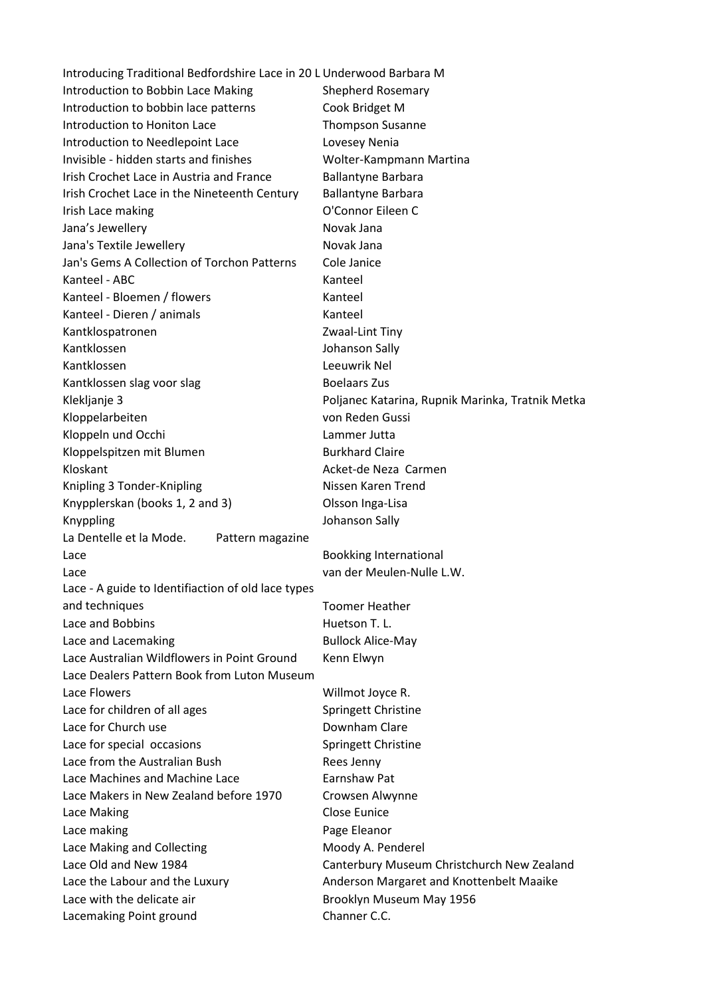| Introducing Traditional Bedfordshire Lace in 20 L Underwood Barbara M |                                                                                        |
|-----------------------------------------------------------------------|----------------------------------------------------------------------------------------|
| Introduction to Bobbin Lace Making                                    | <b>Shepherd Rosemary</b>                                                               |
| Introduction to bobbin lace patterns                                  | Cook Bridget M                                                                         |
| Introduction to Honiton Lace                                          | <b>Thompson Susanne</b>                                                                |
| Introduction to Needlepoint Lace                                      | Lovesey Nenia                                                                          |
| Invisible - hidden starts and finishes                                | Wolter-Kampmann Martina                                                                |
| Irish Crochet Lace in Austria and France                              | <b>Ballantyne Barbara</b>                                                              |
| Irish Crochet Lace in the Nineteenth Century                          | <b>Ballantyne Barbara</b>                                                              |
| Irish Lace making                                                     | O'Connor Eileen C                                                                      |
| Jana's Jewellery                                                      | Novak Jana                                                                             |
| Jana's Textile Jewellery                                              | Novak Jana                                                                             |
| Jan's Gems A Collection of Torchon Patterns                           | Cole Janice                                                                            |
| Kanteel - ABC                                                         | Kanteel                                                                                |
| Kanteel - Bloemen / flowers                                           | Kanteel                                                                                |
| Kanteel - Dieren / animals                                            | Kanteel                                                                                |
| Kantklospatronen                                                      | Zwaal-Lint Tiny                                                                        |
| Kantklossen                                                           | Johanson Sally                                                                         |
| Kantklossen                                                           | Leeuwrik Nel                                                                           |
| Kantklossen slag voor slag                                            | <b>Boelaars Zus</b>                                                                    |
| Klekljanje 3                                                          | Poljanec Katarina, Rupnik Marinka, Tratnik Metka                                       |
| Kloppelarbeiten                                                       | von Reden Gussi                                                                        |
| Kloppeln und Occhi                                                    | Lammer Jutta                                                                           |
| Kloppelspitzen mit Blumen                                             | <b>Burkhard Claire</b>                                                                 |
| Kloskant                                                              | Acket-de Neza Carmen                                                                   |
| Knipling 3 Tonder-Knipling                                            | Nissen Karen Trend                                                                     |
| Knypplerskan (books 1, 2 and 3)                                       | Olsson Inga-Lisa                                                                       |
| Knyppling                                                             | Johanson Sally                                                                         |
| La Dentelle et la Mode.<br>Pattern magazine                           |                                                                                        |
| Lace                                                                  | <b>Bookking International</b>                                                          |
| Lace                                                                  | van der Meulen-Nulle L.W.                                                              |
| Lace - A guide to Identifiaction of old lace types                    |                                                                                        |
| and techniques                                                        | <b>Toomer Heather</b>                                                                  |
| Lace and Bobbins                                                      | Huetson T. L.                                                                          |
| Lace and Lacemaking                                                   | <b>Bullock Alice-May</b>                                                               |
| Lace Australian Wildflowers in Point Ground                           | Kenn Elwyn                                                                             |
| Lace Dealers Pattern Book from Luton Museum                           |                                                                                        |
| Lace Flowers                                                          | Willmot Joyce R.                                                                       |
| Lace for children of all ages                                         | Springett Christine                                                                    |
| Lace for Church use                                                   | Downham Clare                                                                          |
| Lace for special occasions                                            | Springett Christine                                                                    |
| Lace from the Australian Bush                                         | Rees Jenny                                                                             |
| Lace Machines and Machine Lace                                        | Earnshaw Pat                                                                           |
| Lace Makers in New Zealand before 1970                                | Crowsen Alwynne                                                                        |
| Lace Making                                                           | Close Eunice                                                                           |
| Lace making                                                           | Page Eleanor                                                                           |
|                                                                       |                                                                                        |
| Lace Making and Collecting<br>Lace Old and New 1984                   | Moody A. Penderel                                                                      |
| Lace the Labour and the Luxury                                        | Canterbury Museum Christchurch New Zealand<br>Anderson Margaret and Knottenbelt Maaike |
| Lace with the delicate air                                            |                                                                                        |
|                                                                       | Brooklyn Museum May 1956                                                               |
| Lacemaking Point ground                                               | Channer C.C.                                                                           |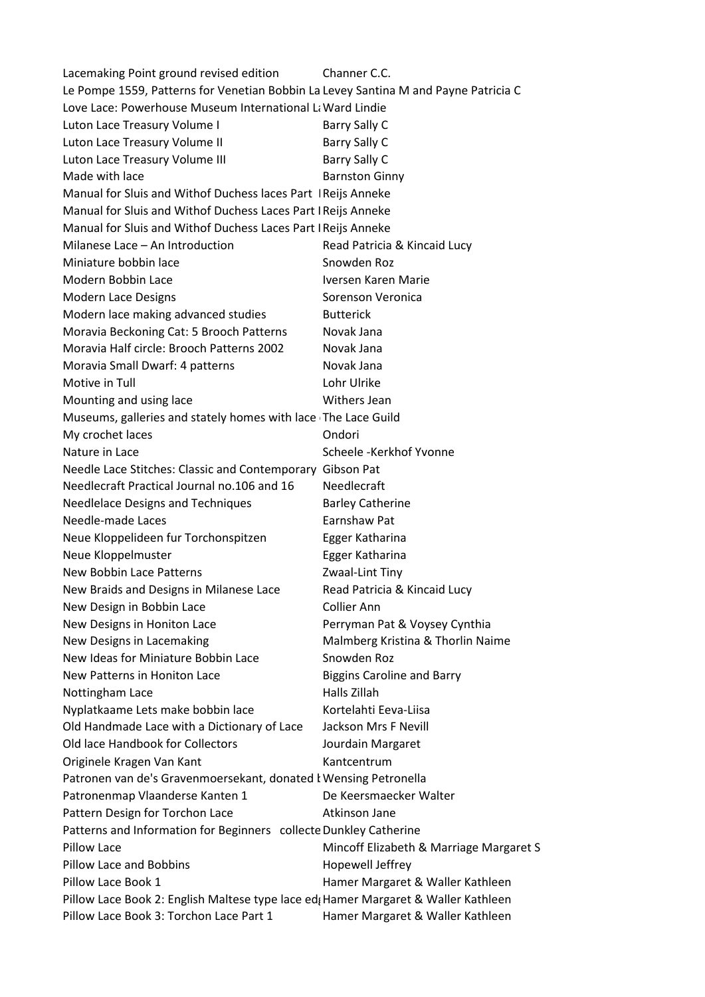Lacemaking Point ground revised edition Channer C.C. Le Pompe 1559, Patterns for Venetian Bobbin La Levey Santina M and Payne Patricia C Love Lace: Powerhouse Museum International La Ward Lindie Luton Lace Treasury Volume I Barry Sally C Luton Lace Treasury Volume II Barry Sally C Luton Lace Treasury Volume III Barry Sally C Made with lace **Barnston Ginny** Manual for Sluis and Withof Duchess laces Part | Reijs Anneke Manual for Sluis and Withof Duchess Laces Part I Reijs Anneke Manual for Sluis and Withof Duchess Laces Part I Reijs Anneke Milanese Lace – An Introduction Read Patricia & Kincaid Lucy Miniature bobbin lace Snowden Roz Modern Bobbin Lace **IVersen Karen Marie** Modern Lace Designs Sorenson Veronica Modern lace making advanced studies Butterick Moravia Beckoning Cat: 5 Brooch Patterns Novak Jana Moravia Half circle: Brooch Patterns 2002 Novak Jana Moravia Small Dwarf: 4 patterns Novak Jana Motive in Tull **Lohr Ulrike** Mounting and using lace Mithers Jean Museums, galleries and stately homes with lace The Lace Guild My crochet laces **Ondori** Nature in Lace The Scheele -Kerkhof Yvonne Needle Lace Stitches: Classic and Contemporary Gibson Pat Needlecraft Practical Journal no.106 and 16 Needlecraft Needlelace Designs and Techniques Barley Catherine Needle-made Laces **Earnshaw Pat** Neue Kloppelideen fur Torchonspitzen Egger Katharina Neue Kloppelmuster **Egger Katharina** New Bobbin Lace Patterns The Manuscript Control of Zwaal-Lint Tiny New Braids and Designs in Milanese Lace Read Patricia & Kincaid Lucy New Design in Bobbin Lace Collier Ann New Designs in Honiton Lace **Perryman Pat & Voysey Cynthia** New Designs in Lacemaking Malmberg Kristina & Thorlin Naime New Ideas for Miniature Bobbin Lace Snowden Roz New Patterns in Honiton Lace Biggins Caroline and Barry Nottingham Lace Halls Zillah Nyplatkaame Lets make bobbin lace Kortelahti Eeva-Liisa Old Handmade Lace with a Dictionary of Lace Jackson Mrs F Nevill Old lace Handbook for Collectors Jourdain Margaret Originele Kragen Van Kant Patronen van de's Gravenmoersekant, donated k Wensing Petronella Patronenmap Vlaanderse Kanten 1 De Keersmaecker Walter Pattern Design for Torchon Lace Atkinson Jane Patterns and Information for Beginners collecte Dunkley Catherine Pillow Lace **Mincoff Elizabeth & Marriage Margaret S** Pillow Lace and Bobbins Hopewell Jeffrey Pillow Lace Book 1 **Hamer Margaret & Waller Kathleen** Pillow Lace Book 2: English Maltese type lace ed; Hamer Margaret & Waller Kathleen Pillow Lace Book 3: Torchon Lace Part 1 Hamer Margaret & Waller Kathleen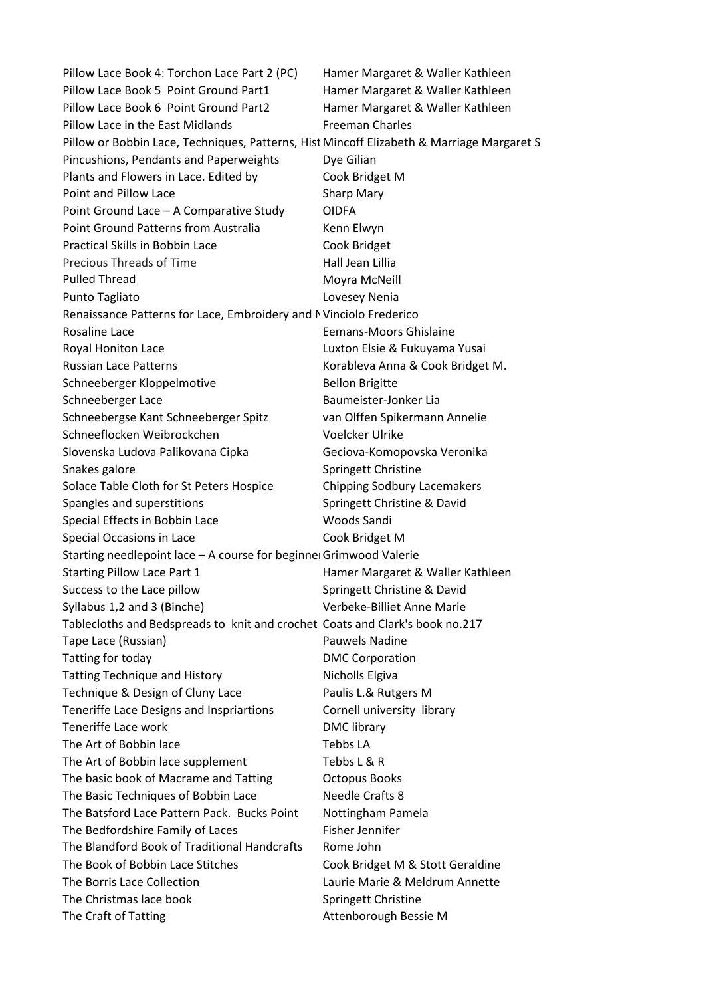Pillow Lace Book 4: Torchon Lace Part 2 (PC) Hamer Margaret & Waller Kathleen Pillow Lace Book 5 Point Ground Part1 Hamer Margaret & Waller Kathleen Pillow Lace Book 6 Point Ground Part2 Hamer Margaret & Waller Kathleen Pillow Lace in the East Midlands Freeman Charles Pillow or Bobbin Lace, Techniques, Patterns, Hist Mincoff Elizabeth & Marriage Margaret S Pincushions, Pendants and Paperweights Dye Gilian Plants and Flowers in Lace. Edited by Cook Bridget M Point and Pillow Lace Sharp Mary Point Ground Lace – A Comparative Study OIDFA Point Ground Patterns from Australia Kenn Elwyn Practical Skills in Bobbin Lace Cook Bridget Precious Threads of Time **Hall Jean Lillia** Pulled Thread Movra McNeill Punto Tagliato **Lovesey Nenia** Renaissance Patterns for Lace, Embroidery and NVinciolo Frederico Rosaline Lace **Example 20** Eemans-Moors Ghislaine Royal Honiton Lace **Luxton Elsie & Fukuyama Yusai** Russian Lace Patterns **Korableva Anna & Cook Bridget M.** Schneeberger Kloppelmotive Bellon Brigitte Schneeberger Lace Baumeister-Jonker Lia Schneebergse Kant Schneeberger Spitz van Olffen Spikermann Annelie Schneeflocken Weibrockchen Voelcker Ulrike Slovenska Ludova Palikovana Cipka Geciova-Komopovska Veronika Snakes galore Snakes galore Springett Christine Solace Table Cloth for St Peters Hospice Chipping Sodbury Lacemakers Spangles and superstitions Springett Christine & David Special Effects in Bobbin Lace Woods Sandi Special Occasions in Lace Cook Bridget M Starting needlepoint lace  $-$  A course for beginner Grimwood Valerie Starting Pillow Lace Part 1 **Hamer Margaret & Waller Kathleen** Success to the Lace pillow Springett Christine & David Syllabus 1,2 and 3 (Binche) Verbeke-Billiet Anne Marie Tablecloths and Bedspreads to knit and crochet Coats and Clark's book no.217 Tape Lace (Russian) **Pauwels Nadine** Tatting for today **DMC** Corporation Tatting Technique and History Nicholls Elgiva Technique & Design of Cluny Lace Paulis L.& Rutgers M Teneriffe Lace Designs and Inspriartions Cornell university library Teneriffe Lace work DMC library The Art of Bobbin lace Tebbs LA The Art of Bobbin lace supplement Tebbs L & R The basic book of Macrame and Tatting **Calculary Controls** Books The Basic Techniques of Bobbin Lace Needle Crafts 8 The Batsford Lace Pattern Pack. Bucks Point Nottingham Pamela The Bedfordshire Family of Laces Fisher Jennifer The Blandford Book of Traditional Handcrafts Rome John The Book of Bobbin Lace Stitches Cook Bridget M & Stott Geraldine The Borris Lace Collection Laurie Marie & Meldrum Annette The Christmas lace book Springett Christine The Craft of Tatting The Craft of Tatting Attenborough Bessie M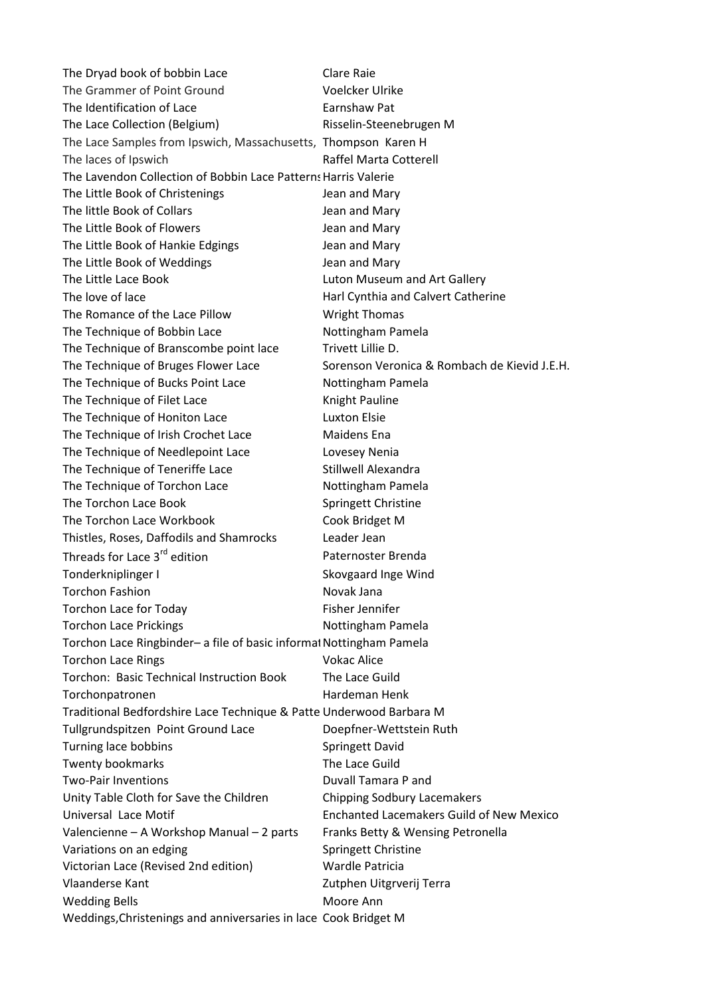| The Dryad book of bobbin Lace                                       | Clare Raie                                      |
|---------------------------------------------------------------------|-------------------------------------------------|
| The Grammer of Point Ground                                         | <b>Voelcker Ulrike</b>                          |
| The Identification of Lace                                          | Earnshaw Pat                                    |
| The Lace Collection (Belgium)                                       | Risselin-Steenebrugen M                         |
| The Lace Samples from Ipswich, Massachusetts, Thompson Karen H      |                                                 |
| The laces of Ipswich                                                | Raffel Marta Cotterell                          |
| The Lavendon Collection of Bobbin Lace Patterns Harris Valerie      |                                                 |
| The Little Book of Christenings                                     | Jean and Mary                                   |
| The little Book of Collars                                          | Jean and Mary                                   |
| The Little Book of Flowers                                          | Jean and Mary                                   |
| The Little Book of Hankie Edgings                                   | Jean and Mary                                   |
| The Little Book of Weddings                                         | Jean and Mary                                   |
| The Little Lace Book                                                | Luton Museum and Art Gallery                    |
| The love of lace                                                    | Harl Cynthia and Calvert Catherine              |
| The Romance of the Lace Pillow                                      | <b>Wright Thomas</b>                            |
| The Technique of Bobbin Lace                                        | Nottingham Pamela                               |
| The Technique of Branscombe point lace                              | Trivett Lillie D.                               |
| The Technique of Bruges Flower Lace                                 | Sorenson Veronica & Rombach de Kievid J.E.H.    |
| The Technique of Bucks Point Lace                                   | Nottingham Pamela                               |
| The Technique of Filet Lace                                         | Knight Pauline                                  |
| The Technique of Honiton Lace                                       | <b>Luxton Elsie</b>                             |
| The Technique of Irish Crochet Lace                                 | Maidens Ena                                     |
| The Technique of Needlepoint Lace                                   | Lovesey Nenia                                   |
| The Technique of Teneriffe Lace                                     | Stillwell Alexandra                             |
| The Technique of Torchon Lace                                       | Nottingham Pamela                               |
| The Torchon Lace Book                                               | Springett Christine                             |
| The Torchon Lace Workbook                                           | Cook Bridget M                                  |
| Thistles, Roses, Daffodils and Shamrocks                            | Leader Jean                                     |
| Threads for Lace 3 <sup>rd</sup> edition                            | Paternoster Brenda                              |
| Tonderkniplinger I                                                  | Skovgaard Inge Wind                             |
| <b>Torchon Fashion</b>                                              | Novak Jana                                      |
| <b>Torchon Lace for Today</b>                                       | Fisher Jennifer                                 |
| <b>Torchon Lace Prickings</b>                                       | Nottingham Pamela                               |
| Torchon Lace Ringbinder- a file of basic informal Nottingham Pamela |                                                 |
| <b>Torchon Lace Rings</b>                                           | <b>Vokac Alice</b>                              |
| Torchon: Basic Technical Instruction Book                           | The Lace Guild                                  |
| Torchonpatronen                                                     | Hardeman Henk                                   |
| Traditional Bedfordshire Lace Technique & Patte Underwood Barbara M |                                                 |
| Tullgrundspitzen Point Ground Lace                                  | Doepfner-Wettstein Ruth                         |
| Turning lace bobbins                                                | <b>Springett David</b>                          |
| <b>Twenty bookmarks</b>                                             | The Lace Guild                                  |
| <b>Two-Pair Inventions</b>                                          | Duvall Tamara P and                             |
| Unity Table Cloth for Save the Children                             | <b>Chipping Sodbury Lacemakers</b>              |
| Universal Lace Motif                                                | <b>Enchanted Lacemakers Guild of New Mexico</b> |
| Valencienne - A Workshop Manual - 2 parts                           | Franks Betty & Wensing Petronella               |
| Variations on an edging                                             | Springett Christine                             |
| Victorian Lace (Revised 2nd edition)                                | Wardle Patricia                                 |
| <b>Vlaanderse Kant</b>                                              | Zutphen Uitgrverij Terra                        |
| <b>Wedding Bells</b>                                                | Moore Ann                                       |
| Weddings, Christenings and anniversaries in lace Cook Bridget M     |                                                 |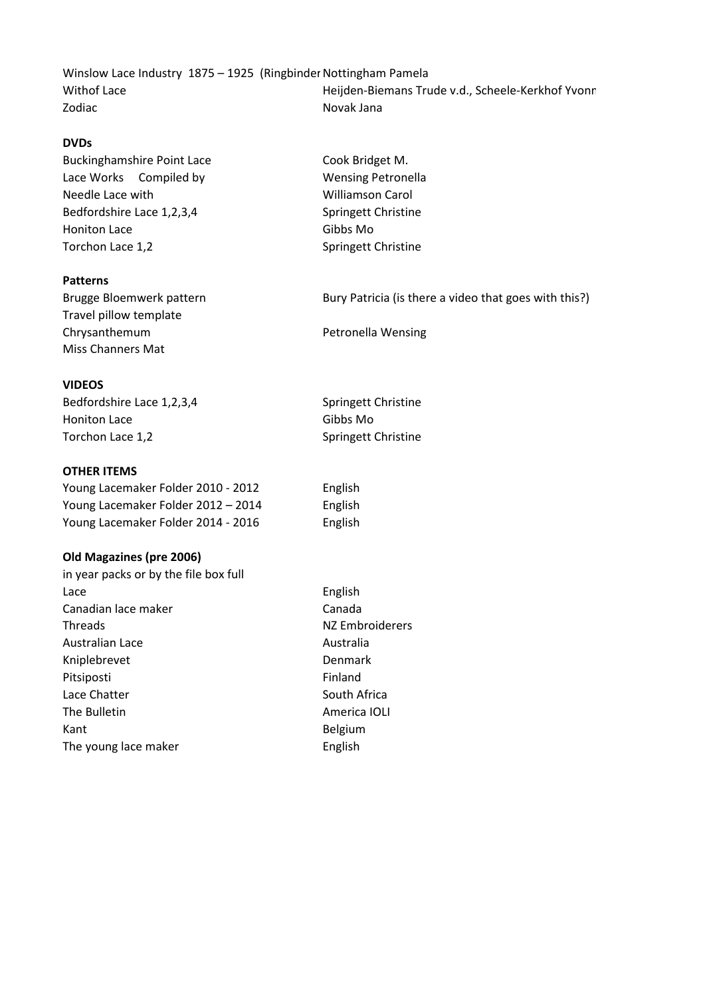Winslow Lace Industry 1875 – 1925 (Ringbinder Nottingham Pamela Withof Lace Microsoft Chemans Trude v.d., Scheele-Kerkhof Yvonne & Smelter-Hoekstra Puckerstra Puckerstra Puckerstra Puckerstra Puckerstra Puckerstra Puckerstra Puckerstra Puckerstra Puckerstra Puckerstra Puckerstra Pucker Zodiac Novak Jana

## **DVDs**

Buckinghamshire Point Lace Cook Bridget M. Lace Works Compiled by Wensing Petronella Needle Lace with Needle Lace with Williamson Carol Bedfordshire Lace 1,2,3,4 Springett Christine Honiton Lace Gibbs Mo Torchon Lace 1,2 Springett Christine

## **Patterns**

Travel pillow template Chrysanthemum **Petronella** Wensing Miss Channers Mat

## **VIDEOS**

Bedfordshire Lace 1,2,3,4 Springett Christine Honiton Lace Gibbs Mo Torchon Lace 1,2 Springett Christine

## **OTHER ITEMS**

Young Lacemaker Folder 2010 - 2012 English Young Lacemaker Folder 2012 – 2014 English Young Lacemaker Folder 2014 - 2016 English

#### **Old Magazines (pre 2006)**

in year packs or by the file box full Lace English Canadian lace maker Canada Threads NZ Embroiderers Australian Lace **Australia** Kniplebrevet Denmark Pitsiposti **Finland** Lace Chatter **South Africa** The Bulletin **America IOLI America** IOLI Kant Belgium The young lace maker English

Brugge Bloemwerk pattern Bury Patricia (is there a video that goes with this?)